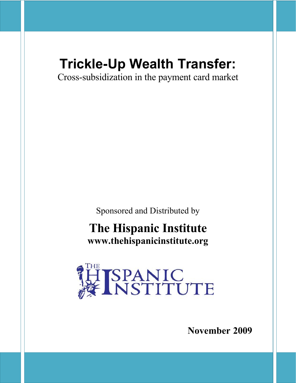# **Trickle-Up Wealth Transfer:**

Cross-subsidization in the payment card market

Sponsored and Distributed by

## **The Hispanic Institute www.thehispanicinstitute.org**



**November 2009**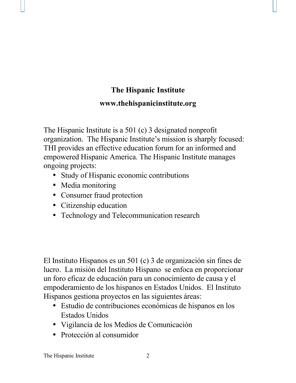## **The Hispanic Institute www.thehispanicinstitute.org**

The Hispanic Institute is a 501 (c) 3 designated nonprofit organization. The Hispanic Institute's mission is sharply focused: THI provides an effective education forum for an informed and empowered Hispanic America. The Hispanic Institute manages ongoing projects:

- Study of Hispanic economic contributions
- Media monitoring
- Consumer fraud protection
- Citizenship education
- Technology and Telecommunication research

El Instituto Hispanos es un 501 (c) 3 de organización sin fines de lucro. La misión del Instituto Hispano se enfoca en proporcionar un foro eficaz de educación para un conocimiento de causa y el empoderamiento de los hispanos en Estados Unidos. El Instituto Hispanos gestiona proyectos en las siguientes áreas:

- Estudio de contribuciones económicas de hispanos en los Estados Unidos
- Vigilancia de los Medios de Comunicación
- Protección al consumidor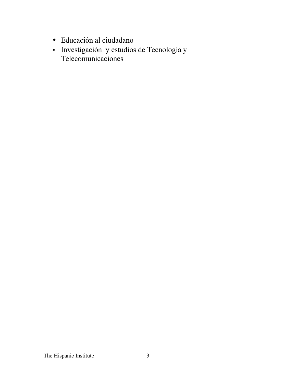- Educación al ciudadano
- Investigación y estudios de Tecnología y Telecomunicaciones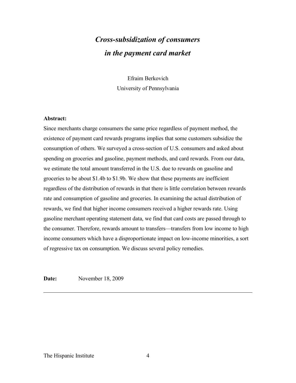## *Cross-subsidization of consumers in the payment card market*

Efraim Berkovich University of Pennsylvania

#### **Abstract:**

Since merchants charge consumers the same price regardless of payment method, the existence of payment card rewards programs implies that some customers subsidize the consumption of others. We surveyed a cross-section of U.S. consumers and asked about spending on groceries and gasoline, payment methods, and card rewards. From our data, we estimate the total amount transferred in the U.S. due to rewards on gasoline and groceries to be about \$1.4b to \$1.9b. We show that these payments are inefficient regardless of the distribution of rewards in that there is little correlation between rewards rate and consumption of gasoline and groceries. In examining the actual distribution of rewards, we find that higher income consumers received a higher rewards rate. Using gasoline merchant operating statement data, we find that card costs are passed through to the consumer. Therefore, rewards amount to transfers—transfers from low income to high income consumers which have a disproportionate impact on low-income minorities, a sort of regressive tax on consumption. We discuss several policy remedies.

**Date:** November 18, 2009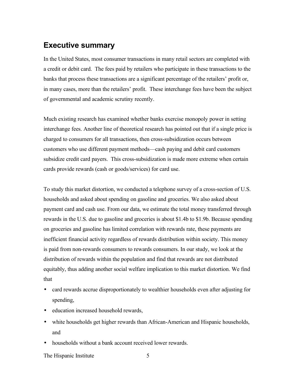## **Executive summary**

In the United States, most consumer transactions in many retail sectors are completed with a credit or debit card. The fees paid by retailers who participate in these transactions to the banks that process these transactions are a significant percentage of the retailers' profit or, in many cases, more than the retailers' profit. These interchange fees have been the subject of governmental and academic scrutiny recently.

Much existing research has examined whether banks exercise monopoly power in setting interchange fees. Another line of theoretical research has pointed out that if a single price is charged to consumers for all transactions, then cross-subsidization occurs between customers who use different payment methods—cash paying and debit card customers subsidize credit card payers. This cross-subsidization is made more extreme when certain cards provide rewards (cash or goods/services) for card use.

To study this market distortion, we conducted a telephone survey of a cross-section of U.S. households and asked about spending on gasoline and groceries. We also asked about payment card and cash use. From our data, we estimate the total money transferred through rewards in the U.S. due to gasoline and groceries is about \$1.4b to \$1.9b. Because spending on groceries and gasoline has limited correlation with rewards rate, these payments are inefficient financial activity regardless of rewards distribution within society. This money is paid from non-rewards consumers to rewards consumers. In our study, we look at the distribution of rewards within the population and find that rewards are not distributed equitably, thus adding another social welfare implication to this market distortion. We find that

- card rewards accrue disproportionately to wealthier households even after adjusting for spending,
- education increased household rewards,
- white households get higher rewards than African-American and Hispanic households, and
- households without a bank account received lower rewards.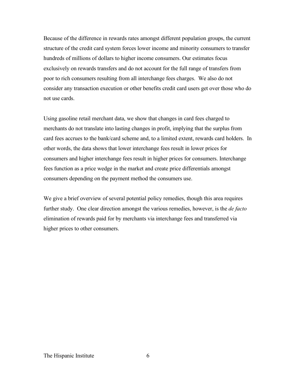Because of the difference in rewards rates amongst different population groups, the current structure of the credit card system forces lower income and minority consumers to transfer hundreds of millions of dollars to higher income consumers. Our estimates focus exclusively on rewards transfers and do not account for the full range of transfers from poor to rich consumers resulting from all interchange fees charges. We also do not consider any transaction execution or other benefits credit card users get over those who do not use cards.

Using gasoline retail merchant data, we show that changes in card fees charged to merchants do not translate into lasting changes in profit, implying that the surplus from card fees accrues to the bank/card scheme and, to a limited extent, rewards card holders. In other words, the data shows that lower interchange fees result in lower prices for consumers and higher interchange fees result in higher prices for consumers. Interchange fees function as a price wedge in the market and create price differentials amongst consumers depending on the payment method the consumers use.

We give a brief overview of several potential policy remedies, though this area requires further study. One clear direction amongst the various remedies, however, is the *de facto* elimination of rewards paid for by merchants via interchange fees and transferred via higher prices to other consumers.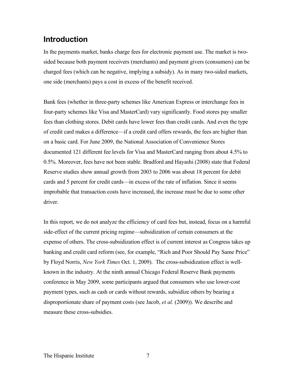## **Introduction**

In the payments market, banks charge fees for electronic payment use. The market is twosided because both payment receivers (merchants) and payment givers (consumers) can be charged fees (which can be negative, implying a subsidy). As in many two-sided markets, one side (merchants) pays a cost in excess of the benefit received.

Bank fees (whether in three-party schemes like American Express or interchange fees in four-party schemes like Visa and MasterCard) vary significantly. Food stores pay smaller fees than clothing stores. Debit cards have lower fees than credit cards. And even the type of credit card makes a difference—if a credit card offers rewards, the fees are higher than on a basic card. For June 2009, the National Association of Convenience Stores documented 121 different fee levels for Visa and MasterCard ranging from about 4.5% to 0.5%. Moreover, fees have not been stable. Bradford and Hayashi (2008) state that Federal Reserve studies show annual growth from 2003 to 2006 was about 18 percent for debit cards and 5 percent for credit cards—in excess of the rate of inflation. Since it seems improbable that transaction costs have increased, the increase must be due to some other driver.

In this report, we do not analyze the efficiency of card fees but, instead, focus on a harmful side-effect of the current pricing regime—subsidization of certain consumers at the expense of others. The cross-subsidization effect is of current interest as Congress takes up banking and credit card reform (see, for example, "Rich and Poor Should Pay Same Price" by Floyd Norris, *New York Times* Oct. 1, 2009). The cross-subsidization effect is wellknown in the industry. At the ninth annual Chicago Federal Reserve Bank payments conference in May 2009, some participants argued that consumers who use lower-cost payment types, such as cash or cards without rewards, subsidize others by bearing a disproportionate share of payment costs (see Jacob, *et al.* (2009)). We describe and measure these cross-subsidies.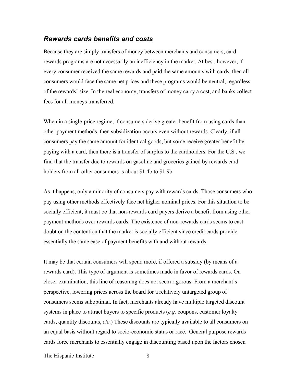#### *Rewards cards benefits and costs*

Because they are simply transfers of money between merchants and consumers, card rewards programs are not necessarily an inefficiency in the market. At best, however, if every consumer received the same rewards and paid the same amounts with cards, then all consumers would face the same net prices and these programs would be neutral, regardless of the rewards' size. In the real economy, transfers of money carry a cost, and banks collect fees for all moneys transferred.

When in a single-price regime, if consumers derive greater benefit from using cards than other payment methods, then subsidization occurs even without rewards. Clearly, if all consumers pay the same amount for identical goods, but some receive greater benefit by paying with a card, then there is a transfer of surplus to the cardholders. For the U.S., we find that the transfer due to rewards on gasoline and groceries gained by rewards card holders from all other consumers is about \$1.4b to \$1.9b.

As it happens, only a minority of consumers pay with rewards cards. Those consumers who pay using other methods effectively face net higher nominal prices. For this situation to be socially efficient, it must be that non-rewards card payers derive a benefit from using other payment methods over rewards cards. The existence of non-rewards cards seems to cast doubt on the contention that the market is socially efficient since credit cards provide essentially the same ease of payment benefits with and without rewards.

It may be that certain consumers will spend more, if offered a subsidy (by means of a rewards card). This type of argument is sometimes made in favor of rewards cards. On closer examination, this line of reasoning does not seem rigorous. From a merchant's perspective, lowering prices across the board for a relatively untargeted group of consumers seems suboptimal. In fact, merchants already have multiple targeted discount systems in place to attract buyers to specific products (*e.g.* coupons, customer loyalty cards, quantity discounts, *etc*.) These discounts are typically available to all consumers on an equal basis without regard to socio-economic status or race. General purpose rewards cards force merchants to essentially engage in discounting based upon the factors chosen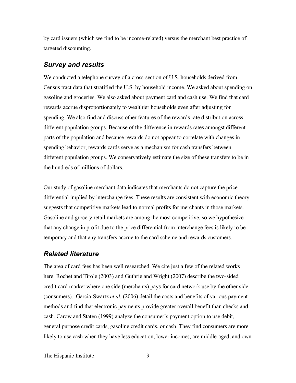by card issuers (which we find to be income-related) versus the merchant best practice of targeted discounting.

#### *Survey and results*

We conducted a telephone survey of a cross-section of U.S. households derived from Census tract data that stratified the U.S. by household income. We asked about spending on gasoline and groceries. We also asked about payment card and cash use. We find that card rewards accrue disproportionately to wealthier households even after adjusting for spending. We also find and discuss other features of the rewards rate distribution across different population groups. Because of the difference in rewards rates amongst different parts of the population and because rewards do not appear to correlate with changes in spending behavior, rewards cards serve as a mechanism for cash transfers between different population groups. We conservatively estimate the size of these transfers to be in the hundreds of millions of dollars.

Our study of gasoline merchant data indicates that merchants do not capture the price differential implied by interchange fees. These results are consistent with economic theory suggests that competitive markets lead to normal profits for merchants in those markets. Gasoline and grocery retail markets are among the most competitive, so we hypothesize that any change in profit due to the price differential from interchange fees is likely to be temporary and that any transfers accrue to the card scheme and rewards customers.

### *Related literature*

The area of card fees has been well researched. We cite just a few of the related works here. Rochet and Tirole (2003) and Guthrie and Wright (2007) describe the two-sided credit card market where one side (merchants) pays for card network use by the other side (consumers). Garcia-Swartz *et al.* (2006) detail the costs and benefits of various payment methods and find that electronic payments provide greater overall benefit than checks and cash. Carow and Staten (1999) analyze the consumer's payment option to use debit, general purpose credit cards, gasoline credit cards, or cash. They find consumers are more likely to use cash when they have less education, lower incomes, are middle-aged, and own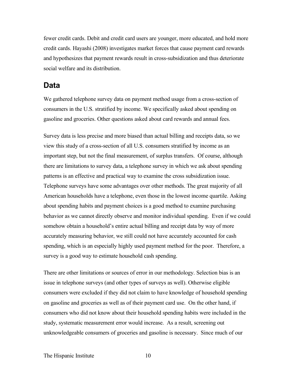fewer credit cards. Debit and credit card users are younger, more educated, and hold more credit cards. Hayashi (2008) investigates market forces that cause payment card rewards and hypothesizes that payment rewards result in cross-subsidization and thus deteriorate social welfare and its distribution.

## **Data**

We gathered telephone survey data on payment method usage from a cross-section of consumers in the U.S. stratified by income. We specifically asked about spending on gasoline and groceries. Other questions asked about card rewards and annual fees.

Survey data is less precise and more biased than actual billing and receipts data, so we view this study of a cross-section of all U.S. consumers stratified by income as an important step, but not the final measurement, of surplus transfers. Of course, although there are limitations to survey data, a telephone survey in which we ask about spending patterns is an effective and practical way to examine the cross subsidization issue. Telephone surveys have some advantages over other methods. The great majority of all American households have a telephone, even those in the lowest income quartile. Asking about spending habits and payment choices is a good method to examine purchasing behavior as we cannot directly observe and monitor individual spending. Even if we could somehow obtain a household's entire actual billing and receipt data by way of more accurately measuring behavior, we still could not have accurately accounted for cash spending, which is an especially highly used payment method for the poor. Therefore, a survey is a good way to estimate household cash spending.

There are other limitations or sources of error in our methodology. Selection bias is an issue in telephone surveys (and other types of surveys as well). Otherwise eligible consumers were excluded if they did not claim to have knowledge of household spending on gasoline and groceries as well as of their payment card use. On the other hand, if consumers who did not know about their household spending habits were included in the study, systematic measurement error would increase. As a result, screening out unknowledgeable consumers of groceries and gasoline is necessary. Since much of our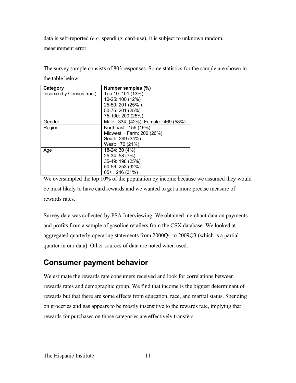data is self-reported (*e.g.* spending, card-use), it is subject to unknown random,

measurement error.

The survey sample consists of 803 responses. Some statistics for the sample are shown in the table below.

| Category                  | Number samples (%)                |
|---------------------------|-----------------------------------|
| Income (by Census tract): | Top 10: 101 (13%)                 |
|                           | 10-25: 100 (12%)                  |
|                           | 25-50: 201 (25%)                  |
|                           | 50-75: 201 (25%)                  |
|                           | 75-100: 200 (25%)                 |
| Gender                    | Male: 334 (42%) Female: 469 (58%) |
| Region                    | Northeast: 156 (19%)              |
|                           | Midwest + Farm: 206 (26%)         |
|                           | South: 269 (34%)                  |
|                           | West: 170 (21%)                   |
| Age                       | 18-24: 30 (4%)                    |
|                           | 25-34: 58 (7%)                    |
|                           | 35-49: 198 (25%)                  |
|                           | 50-56: 253 (32%)                  |
|                           | $65+$ : 246 (31%)                 |

We oversampled the top 10% of the population by income because we assumed they would be most likely to have card rewards and we wanted to get a more precise measure of rewards rates.

Survey data was collected by PSA Interviewing. We obtained merchant data on payments and profits from a sample of gasoline retailers from the CSX database. We looked at aggregated quarterly operating statements from 2000Q4 to 2009Q3 (which is a partial quarter in our data). Other sources of data are noted when used.

## **Consumer payment behavior**

We estimate the rewards rate consumers received and look for correlations between rewards rates and demographic group. We find that income is the biggest determinant of rewards but that there are some effects from education, race, and marital status. Spending on groceries and gas appears to be mostly insensitive to the rewards rate, implying that rewards for purchases on those categories are effectively transfers.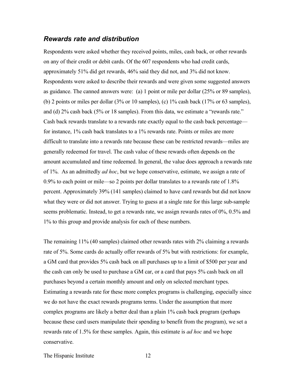#### *Rewards rate and distribution*

Respondents were asked whether they received points, miles, cash back, or other rewards on any of their credit or debit cards. Of the 607 respondents who had credit cards, approximately 51% did get rewards, 46% said they did not, and 3% did not know. Respondents were asked to describe their rewards and were given some suggested answers as guidance. The canned answers were: (a) 1 point or mile per dollar (25% or 89 samples), (b) 2 points or miles per dollar  $(3\%$  or 10 samples), (c)  $1\%$  cash back  $(17\%$  or 63 samples), and (d) 2% cash back (5% or 18 samples). From this data, we estimate a "rewards rate." Cash back rewards translate to a rewards rate exactly equal to the cash back percentage for instance, 1% cash back translates to a 1% rewards rate. Points or miles are more difficult to translate into a rewards rate because these can be restricted rewards—miles are generally redeemed for travel. The cash value of these rewards often depends on the amount accumulated and time redeemed. In general, the value does approach a rewards rate of 1%. As an admittedly *ad hoc*, but we hope conservative, estimate, we assign a rate of 0.9% to each point or mile—so 2 points per dollar translates to a rewards rate of 1.8% percent. Approximately 39% (141 samples) claimed to have card rewards but did not know what they were or did not answer. Trying to guess at a single rate for this large sub-sample seems problematic. Instead, to get a rewards rate, we assign rewards rates of 0%, 0.5% and 1% to this group and provide analysis for each of these numbers.

The remaining 11% (40 samples) claimed other rewards rates with 2% claiming a rewards rate of 5%. Some cards do actually offer rewards of 5% but with restrictions: for example, a GM card that provides 5% cash back on all purchases up to a limit of \$500 per year and the cash can only be used to purchase a GM car, or a card that pays 5% cash back on all purchases beyond a certain monthly amount and only on selected merchant types. Estimating a rewards rate for these more complex programs is challenging, especially since we do not have the exact rewards programs terms. Under the assumption that more complex programs are likely a better deal than a plain 1% cash back program (perhaps because these card users manipulate their spending to benefit from the program), we set a rewards rate of 1.5% for these samples. Again, this estimate is *ad hoc* and we hope conservative.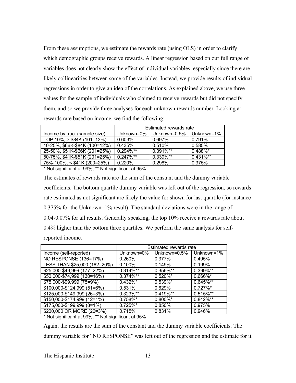From these assumptions, we estimate the rewards rate (using OLS) in order to clarify which demographic groups receive rewards. A linear regression based on our full range of variables does not clearly show the effect of individual variables, especially since there are likely collinearities between some of the variables. Instead, we provide results of individual regressions in order to give an idea of the correlations. As explained above, we use three values for the sample of individuals who claimed to receive rewards but did not specify them, and so we provide three analyses for each unknown rewards number. Looking at rewards rate based on income, we find the following:

|                                  | Estimated rewards rate |              |              |  |
|----------------------------------|------------------------|--------------|--------------|--|
| Income by tract (sample size)    | Unknown=0%             | Unknown=0.5% | Unknown=1%   |  |
| TOP $10\%$ , $>$ \$84K (101=13%) | 0.603%                 | 0.697%       | 0.791%       |  |
| 10-25%, \$66K-\$84K (100=12%)    | 0.435%                 | 0.510%       | 0.585%       |  |
| 25-50%, \$51K-\$66K (201=25%)    | $0.294\%**$            | $0.391\%$ ** | $0.488\%$ *  |  |
| 50-75%, \$41K-\$51K (201=25%)    | $0.247\%$ **           | $0.339\%**$  | $0.431\%$ ** |  |
| 75%-100%, < \$41K (200=25%)      | 0.220%                 | 0.298%       | 0.375%       |  |

\* Not significant at 99%, \*\* Not significant at 95%

The estimates of rewards rate are the sum of the constant and the dummy variable coefficients. The bottom quartile dummy variable was left out of the regression, so rewards rate estimated as not significant are likely the value for shown for last quartile (for instance 0.375% for the Unknown=1% result). The standard deviations were in the range of 0.04-0.07% for all results. Generally speaking, the top 10% receive a rewards rate about 0.4% higher than the bottom three quartiles. We perform the same analysis for selfreported income.

|                              |             | Estimated rewards rate |              |  |  |  |
|------------------------------|-------------|------------------------|--------------|--|--|--|
| Income (self-reported)       | Unknown=0%  | Unknown=0.5%           | Unknown=1%   |  |  |  |
| NO RESPONSE (136=17%)        | 0.260%      | 0.377%                 | 0.495%       |  |  |  |
| LESS THAN \$25,000 (162=20%) | 0.100%      | 0.149%                 | 0.199%       |  |  |  |
| \$25,000-\$49,999 (177=22%)  | $0.314\%**$ | 0.356%**               | 0.399%**     |  |  |  |
| \$50,000-\$74,999 (130=16%)  | $0.374\%**$ | $0.520\%$ *            | $0.666\%$ *  |  |  |  |
| \$75,000-\$99,999 (75=9%)    | $0.432\%$ * | $0.539\%$ *            | $0.645\%$ ** |  |  |  |
| \$100,000-\$124,999 (51=6%)  | 0.531%      | 0.629%                 | $0.727\%$ *  |  |  |  |
| \$125,000-\$149,999 (26=3%)  | $0.323\%**$ | $0.419\%**$            | $0.515\%$ ** |  |  |  |
| \$150,000-\$174,999 (12=1%)  | $0.758\%$ * | $0.800\%$ *            | $0.842\%**$  |  |  |  |
| \$175,000-\$199,999 (8=1%)   | $0.725\%$ * | 0.850%                 | 0.975%       |  |  |  |
| \$200,000 OR MORE (26=3%)    | 0.715%      | 0.831%                 | 0.946%       |  |  |  |
|                              |             |                        |              |  |  |  |

\* Not significant at 99%, \*\* Not significant at 95%

Again, the results are the sum of the constant and the dummy variable coefficients. The dummy variable for "NO RESPONSE" was left out of the regression and the estimate for it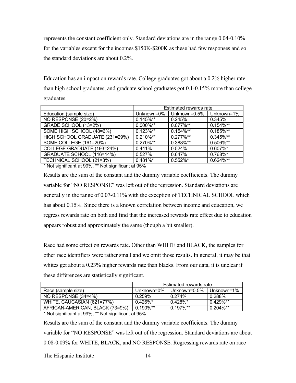represents the constant coefficient only. Standard deviations are in the range 0.04-0.10% for the variables except for the incomes \$150K-\$200K as these had few responses and so the standard deviations are about 0.2%.

Education has an impact on rewards rate. College graduates got about a 0.2% higher rate than high school graduates, and graduate school graduates got 0.1-0.15% more than college graduates.

|                                | Estimated rewards rate |              |              |  |
|--------------------------------|------------------------|--------------|--------------|--|
| Education (sample size)        | Unknown=0%             | Unknown=0.5% | Unknown=1%   |  |
| NO RESPONSE (20=2%)            | $0.145\%**$            | 0.245%       | 0.345%       |  |
| GRADE SCHOOL (13=2%)           | $0.000\%$ **           | $0.077\%$ ** | $0.154\%**$  |  |
| SOME HIGH SCHOOL (48=6%)       | $0.123\%**$            | $0.154\%**$  | $0.185\%$ ** |  |
| HIGH SCHOOL GRADUATE (231=29%) | $0.210\%**$            | $0.277\%**$  | 0.345%**     |  |
| SOME COLLEGE (161=20%)         | 0.270%**               | 0.388%**     | 0.506%**     |  |
| COLLEGE GRADUATE (193=24%)     | 0.441%                 | 0.524%       | 0.607%*      |  |
| GRADUATE SCHOOL (116=14%)      | 0.527%                 | 0.647%       | 0.768%*      |  |
| TECHNICAL SCHOOL (21=3%)       | $0.481\%$ *            | $0.552\%$ *  | $0.624\%**$  |  |

\* Not significant at 99%, \*\* Not significant at 95%

Results are the sum of the constant and the dummy variable coefficients. The dummy variable for "NO RESPONSE" was left out of the regression. Standard deviations are generally in the range of 0.07-0.11% with the exception of TECHNICAL SCHOOL which has about 0.15%. Since there is a known correlation between income and education, we regress rewards rate on both and find that the increased rewards rate effect due to education appears robust and approximately the same (though a bit smaller).

Race had some effect on rewards rate. Other than WHITE and BLACK, the samples for other race identifiers were rather small and we omit those results. In general, it may be that whites get about a 0.23% higher rewards rate than blacks. From our data, it is unclear if these differences are statistically significant.

|                                 | Estimated rewards rate                       |                |                |  |
|---------------------------------|----------------------------------------------|----------------|----------------|--|
| Race (sample size)              | Unknown=0%                                   | l Unknown=0.5% | Unknown= $1\%$ |  |
| NO RESPONSE (34=4%)             | $0.259\%$                                    | $0.274\%$      | 0.288%         |  |
| WHITE, CAUCASIAN (621=77%)      | $0.426\%$ *                                  | $0.428\%$ *    | $0.429\%$ **   |  |
| AFRICAN-AMERICAN, BLACK (73=9%) | $0.190\%$ **<br>$0.197\%$ **<br>$0.204\%$ ** |                |                |  |

\* Not significant at 99%, \*\* Not significant at 95%

Results are the sum of the constant and the dummy variable coefficients. The dummy variable for "NO RESPONSE" was left out of the regression. Standard deviations are about 0.08-0.09% for WHITE, BLACK, and NO RESPONSE. Regressing rewards rate on race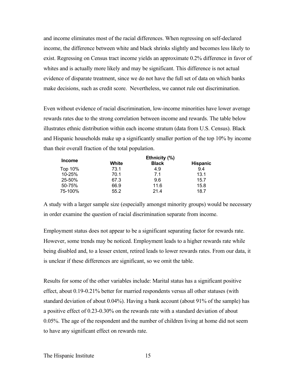and income eliminates most of the racial differences. When regressing on self-declared income, the difference between white and black shrinks slightly and becomes less likely to exist. Regressing on Census tract income yields an approximate 0.2% difference in favor of whites and is actually more likely and may be significant. This difference is not actual evidence of disparate treatment, since we do not have the full set of data on which banks make decisions, such as credit score. Nevertheless, we cannot rule out discrimination.

Even without evidence of racial discrimination, low-income minorities have lower average rewards rates due to the strong correlation between income and rewards. The table below illustrates ethnic distribution within each income stratum (data from U.S. Census). Black and Hispanic households make up a significantly smaller portion of the top 10% by income than their overall fraction of the total population.

|               |       | Ethnicity (%) |                 |
|---------------|-------|---------------|-----------------|
| <b>Income</b> | White | <b>Black</b>  | <b>Hispanic</b> |
| Top 10%       | 73.1  | 4.9           | 9.4             |
| 10-25%        | 70.1  | 7.1           | 13.1            |
| 25-50%        | 67.3  | 9.6           | 15.7            |
| 50-75%        | 66.9  | 11.6          | 15.8            |
| 75-100%       | 55.2  | 21.4          | 18.7            |

A study with a larger sample size (especially amongst minority groups) would be necessary in order examine the question of racial discrimination separate from income.

Employment status does not appear to be a significant separating factor for rewards rate. However, some trends may be noticed. Employment leads to a higher rewards rate while being disabled and, to a lesser extent, retired leads to lower rewards rates. From our data, it is unclear if these differences are significant, so we omit the table.

Results for some of the other variables include: Marital status has a significant positive effect, about 0.19-0.21% better for married respondents versus all other statuses (with standard deviation of about 0.04%). Having a bank account (about 91% of the sample) has a positive effect of 0.23-0.30% on the rewards rate with a standard deviation of about 0.05%. The age of the respondent and the number of children living at home did not seem to have any significant effect on rewards rate.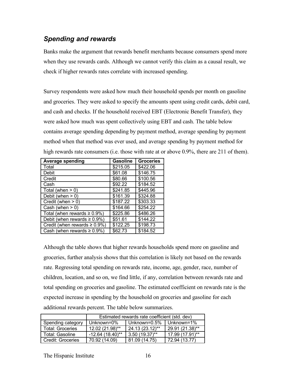## *Spending and rewards*

Banks make the argument that rewards benefit merchants because consumers spend more when they use rewards cards. Although we cannot verify this claim as a causal result, we check if higher rewards rates correlate with increased spending.

Survey respondents were asked how much their household spends per month on gasoline and groceries. They were asked to specify the amounts spent using credit cards, debit card, and cash and checks. If the household received EBT (Electronic Benefit Transfer), they were asked how much was spent collectively using EBT and cash. The table below contains average spending depending by payment method, average spending by payment method when that method was ever used, and average spending by payment method for high rewards rate consumers (i.e. those with rate at or above 0.9%, there are 211 of them).

| <b>Average spending</b>                   | <b>Gasoline</b> | <b>Groceries</b> |
|-------------------------------------------|-----------------|------------------|
| Total                                     | \$215.05        | \$422.06         |
| Debit                                     | \$61.08         | \$146.75         |
| Credit                                    | \$80.66         | \$100.56         |
| Cash                                      | \$92.22         | \$184.52         |
| Total (when $> 0$ )                       | \$241.85        | \$445.96         |
| Debit (when $> 0$ )                       | \$161.39        | \$324.88         |
| Credit (when $> 0$ )                      | \$187.22        | \$303.33         |
| Cash (when $> 0$ )                        | \$164.66        | \$254.22         |
| Total (when rewards $\geq 0.9\%$ )        | \$225.86        | \$486.26         |
| Debit (when rewards $\geq 0.9\%$ )        | \$51.61         | \$144.22         |
| Credit (when rewards $\geq 0.9\%$ )       | \$122.25        | \$198.73         |
| $\vert$ Cash (when rewards $\geq 0.9\%$ ) | \$62.73         | \$184.52         |

Although the table shows that higher rewards households spend more on gasoline and groceries, further analysis shows that this correlation is likely not based on the rewards rate. Regressing total spending on rewards rate, income, age, gender, race, number of children, location, and so on, we find little, if any, correlation between rewards rate and total spending on groceries and gasoline. The estimated coefficient on rewards rate is the expected increase in spending by the household on groceries and gasoline for each additional rewards percent. The table below summarizes.

|                          | Estimated rewards rate coefficient (std. dev) |                  |                   |  |
|--------------------------|-----------------------------------------------|------------------|-------------------|--|
| Spending category        | Unknown=0%                                    | Unknown=0.5%     | Unknown=1%        |  |
| <b>Total: Groceries</b>  | 12.02 (21.98)**                               | 24.13 (23.12)**  | 29.91 (21.38)**   |  |
| Total: Gasoline          | -12.64 (18.40)**                              | $3.50(19.37)$ ** | $17.99(17.91)$ ** |  |
| <b>Credit: Groceries</b> | 70.92 (14.09)                                 | (14.75)<br>81.09 | 72.94 (13.77)     |  |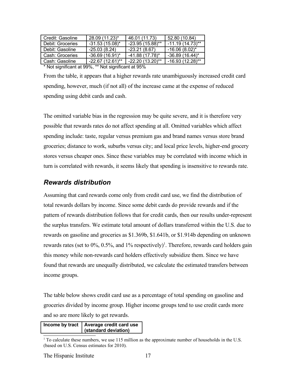| Credit: Gasoline                                                               | 28.09 (11.23)*     | 46.01 (11.73)      | 52.80 (10.84)      |
|--------------------------------------------------------------------------------|--------------------|--------------------|--------------------|
| Debit: Groceries                                                               | $-31.53(15.08)^*$  | $-23.95(15.88)$ ** | $-11.19(14.73)$ ** |
| Debit: Gasoline                                                                | $-25.03(8.24)$     | $-23.21(8.67)$     | $-16.06(8.02)$ *   |
| Cash: Groceries                                                                | $-36.69(16.91)$ *  | $-41.88(17.78)$ *  | $-36.89(16.44)^*$  |
| l Cash: Gasoline                                                               | $-22.67(12.61)$ ** | $-22.20(13.20)$ ** | $-16.93(12.28)$ ** |
| $\star$ Not classificant at 000/ $\star\star$ Not classificant at 050/ $\star$ |                    |                    |                    |

Not significant at 99%, \*\* Not significant at 95%

From the table, it appears that a higher rewards rate unambiguously increased credit card spending, however, much (if not all) of the increase came at the expense of reduced spending using debit cards and cash.

The omitted variable bias in the regression may be quite severe, and it is therefore very possible that rewards rates do not affect spending at all. Omitted variables which affect spending include: taste, regular versus premium gas and brand names versus store brand groceries; distance to work, suburbs versus city; and local price levels, higher-end grocery stores versus cheaper ones. Since these variables may be correlated with income which in turn is correlated with rewards, it seems likely that spending is insensitive to rewards rate.

#### *Rewards distribution*

Assuming that card rewards come only from credit card use, we find the distribution of total rewards dollars by income. Since some debit cards do provide rewards and if the pattern of rewards distribution follows that for credit cards, then our results under-represent the surplus transfers. We estimate total amount of dollars transferred within the U.S. due to rewards on gasoline and groceries as \$1.369b, \$1.641b, or \$1.914b depending on unknown rewards rates (set to  $0\%$ ,  $0.5\%$ , and  $1\%$  $1\%$  respectively)<sup>1</sup>. Therefore, rewards card holders gain this money while non-rewards card holders effectively subsidize them. Since we have found that rewards are unequally distributed, we calculate the estimated transfers between income groups.

The table below shows credit card use as a percentage of total spending on gasoline and groceries divided by income group. Higher income groups tend to use credit cards more and so are more likely to get rewards.

**Income by tract Average credit card use (standard deviation)**

<span id="page-16-0"></span><sup>1</sup> To calculate these numbers, we use 115 million as the approximate number of households in the U.S. (based on U.S. Census estimates for 2010).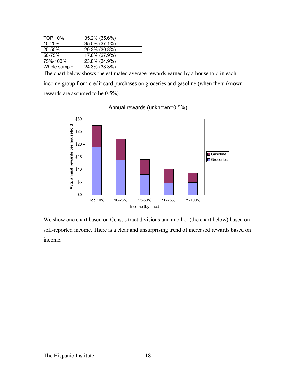| <b>TOP 10%</b> | 35.2% (35.6%) |
|----------------|---------------|
| 10-25%         | 35.5% (37.1%) |
| 25-50%         | 20.3% (30.8%) |
| 50-75%         | 17.8% (27.9%) |
| 75%-100%       | 23.8% (34.9%) |
| Whole sample   | 24.3% (33.3%) |

The chart below shows the estimated average rewards earned by a household in each income group from credit card purchases on groceries and gasoline (when the unknown rewards are assumed to be 0.5%).



Annual rewards (unknown=0.5%)

We show one chart based on Census tract divisions and another (the chart below) based on self-reported income. There is a clear and unsurprising trend of increased rewards based on income.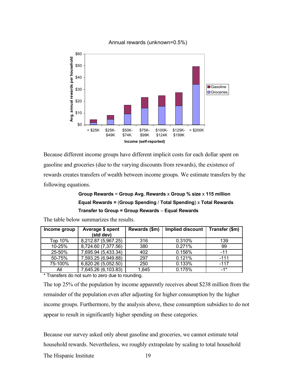

#### Annual rewards (unknown=0.5%)

Because different income groups have different implicit costs for each dollar spent on gasoline and groceries (due to the varying discounts from rewards), the existence of rewards creates transfers of wealth between income groups. We estimate transfers by the following equations.

### **Group Rewards** = **Group Avg. Rewards** x **Group % size** x **115 million Equal Rewards =** (**Group Spending** / **Total Spending**) x **Total Rewards Transfer to Group = Group Rewards** – **Equal Rewards**

| Average \$ spent    | Rewards (\$m) | Implied discount | Transfer (\$m) |
|---------------------|---------------|------------------|----------------|
| (std dev)           |               |                  |                |
| 8,212.87 (5,967.25) | 316           | 0.310%           | 139            |
| 8,724.60 (7,377.56) | 380           | 0.271%           | 99             |
| 7,695.94 (5,433.34) | 402           | 0.156%           | $-11$          |
| 7,593.25 (6,949.88) | 297           | 0.121%           | $-111$         |
| 6,820.26 (5,052.50) | 250           | 0.133%           | $-117$         |
| 7,645.26 (6,103.83) | 1,645         | 0.175%           | $-1*$          |
|                     |               |                  |                |

The table below summarizes the results.

\* Transfers do not sum to zero due to rounding.

The top 25% of the population by income apparently receives about \$238 million from the remainder of the population even after adjusting for higher consumption by the higher income groups. Furthermore, by the analysis above, these consumption subsidies to do not appear to result in significantly higher spending on these categories.

Because our survey asked only about gasoline and groceries, we cannot estimate total household rewards. Nevertheless, we roughly extrapolate by scaling to total household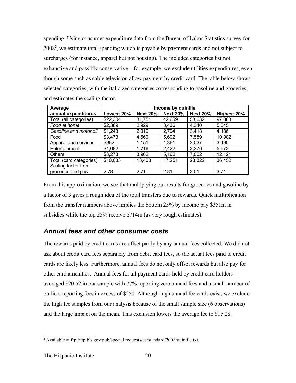spending. Using consumer expenditure data from the Bureau of Labor Statistics survey for [2](#page-19-0)008<sup>2</sup>, we estimate total spending which is payable by payment cards and not subject to surcharges (for instance, apparel but not housing). The included categories list not exhaustive and possibly conservative—for example, we exclude utilities expenditures, even though some such as cable television allow payment by credit card. The table below shows selected categories, with the italicized categories corresponding to gasoline and groceries, and estimates the scaling factor.

| Average                 | Income by quintile |                 |                 |                 |             |
|-------------------------|--------------------|-----------------|-----------------|-----------------|-------------|
| annual expenditures     | Lowest 20%         | <b>Next 20%</b> | <b>Next 20%</b> | <b>Next 20%</b> | Highest 20% |
| Total (all categories)  | \$22,304           | 31,751          | 42,659          | 58,632          | 97,003      |
| Food at home            | \$2,369            | 2,929           | 3,436           | 4,340           | 5,645       |
| Gasoline and motor oil  | \$1,243            | 2,019           | 2,704           | 3,418           | 4,186       |
| Food                    | \$3,473            | 4,560           | 5,602           | 7,589           | 10,982      |
| Apparel and services    | \$962              | 1,151           | 1,361           | 2,037           | 3,490       |
| Entertainment           | \$1,082            | 1,716           | 2,422           | 3,276           | 5,673       |
| <b>Others</b>           | \$3,273            | 3,962           | 5,162           | 7,002           | 12,121      |
| Total (card categories) | \$10,033           | 13,408          | 17,251          | 23,322          | 36,452      |
| Scaling factor from     |                    |                 |                 |                 |             |
| groceries and gas       | 2.78               | 2.71            | 2.81            | 3.01            | 3.71        |

From this approximation, we see that multiplying our results for groceries and gasoline by a factor of 3 gives a rough idea of the total transfers due to rewards. Quick multiplication from the transfer numbers above implies the bottom 25% by income pay \$351m in subsidies while the top 25% receive \$714m (as very rough estimates).

## *Annual fees and other consumer costs*

The rewards paid by credit cards are offset partly by any annual fees collected. We did not ask about credit card fees separately from debit card fees, so the actual fees paid to credit cards are likely less. Furthermore, annual fees do not only offset rewards but also pay for other card amenities. Annual fees for all payment cards held by credit card holders averaged \$20.52 in our sample with 77% reporting zero annual fees and a small number of outliers reporting fees in excess of \$250. Although high annual fee cards exist, we exclude the high fee samples from our analysis because of the small sample size (6 observations) and the large impact on the mean. This exclusion lowers the average fee to \$15.28.

<span id="page-19-0"></span><sup>&</sup>lt;sup>2</sup> Available at ftp://ftp.bls.gov/pub/special.requests/ce/standard/2008/quintile.txt.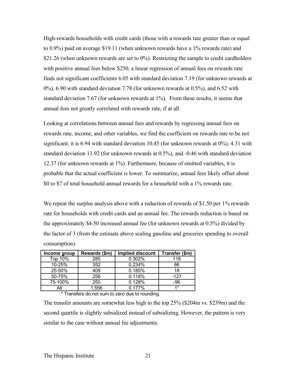High-rewards households with credit cards (those with a rewards rate greater than or equal to 0.9%) paid on average \$19.11 (when unknown rewards have a 1% rewards rate) and \$21.26 (when unknown rewards are set to 0%). Restricting the sample to credit cardholders with positive annual fees below \$250, a linear regression of annual fees on rewards rate finds not significant coefficients 6.05 with standard deviation 7.19 (for unknown rewards at 0%), 6.90 with standard deviation 7.78 (for unknown rewards at 0.5%), and 6.52 with standard deviation 7.67 (for unknown rewards at 1%). From these results, it seems that annual fees not greatly correlated with rewards rate, if at all.

Looking at correlations between annual fees and rewards by regressing annual fees on rewards rate, income, and other variables, we find the coefficient on rewards rate to be not significant; it is 6.94 with standard deviation 10.45 (for unknown rewards at 0%), 4.31 with standard deviation 11.92 (for unknown rewards at 0.5%), and -0.46 with standard deviation 12.37 (for unknown rewards at 1%). Furthermore, because of omitted variables, it is probable that the actual coefficient is lower. To summarize, annual fees likely offset about \$0 to \$7 of total household annual rewards for a household with a 1% rewards rate.

We repeat the surplus analysis above with a reduction of rewards of \$1.50 per 1% rewards rate for households with credit cards and an annual fee. The rewards reduction is based on the approximately \$4.50 increased annual fee (for unknown rewards at 0.5%) divided by the factor of 3 (from the estimate above scaling gasoline and groceries spending to overall consumption).

| Income group | Rewards (\$m) | <b>Implied discount</b> | Transfer (\$m) |
|--------------|---------------|-------------------------|----------------|
| Top 10%      | 285           | 0.302%                  | 118            |
| 10-25%       | 352           | 0.234%                  | 86             |
| 25-50%       | 409           | 0.185%                  | 18             |
| 50-75%       | 258           | 0.118%                  | -127           |
| 75-100%      | 250           | 0.128%                  | -96            |
| All          | 1,556         | 0.177%                  | $4*$           |

\* Transfers do not sum to zero due to rounding.

The transfer amounts are somewhat less high to the top 25% (\$204m vs. \$239m) and the second quartile is slightly subsidized instead of subsidizing. However, the pattern is very similar to the case without annual fee adjustments.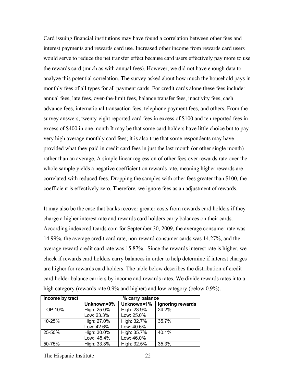Card issuing financial institutions may have found a correlation between other fees and interest payments and rewards card use. Increased other income from rewards card users would serve to reduce the net transfer effect because card users effectively pay more to use the rewards card (much as with annual fees). However, we did not have enough data to analyze this potential correlation. The survey asked about how much the household pays in monthly fees of all types for all payment cards. For credit cards alone these fees include: annual fees, late fees, over-the-limit fees, balance transfer fees, inactivity fees, cash advance fees, international transaction fees, telephone payment fees, and others. From the survey answers, twenty-eight reported card fees in excess of \$100 and ten reported fees in excess of \$400 in one month It may be that some card holders have little choice but to pay very high average monthly card fees; it is also true that some respondents may have provided what they paid in credit card fees in just the last month (or other single month) rather than an average. A simple linear regression of other fees over rewards rate over the whole sample yields a negative coefficient on rewards rate, meaning higher rewards are correlated with reduced fees. Dropping the samples with other fees greater than \$100, the coefficient is effectively zero. Therefore, we ignore fees as an adjustment of rewards.

It may also be the case that banks recover greater costs from rewards card holders if they charge a higher interest rate and rewards card holders carry balances on their cards. According indexcreditcards.com for September 30, 2009, the average consumer rate was 14.99%, the average credit card rate, non-reward consumer cards was 14.27%, and the average reward credit card rate was 15.87%. Since the rewards interest rate is higher, we check if rewards card holders carry balances in order to help determine if interest charges are higher for rewards card holders. The table below describes the distribution of credit card holder balance carriers by income and rewards rates. We divide rewards rates into a high category (rewards rate 0.9% and higher) and low category (below 0.9%).

| Income by tract | % carry balance |             |                  |
|-----------------|-----------------|-------------|------------------|
|                 | Unknown=0%      | Unknown=1%  | Ignoring rewards |
| <b>TOP 10%</b>  | High: 25.0%     | High: 23.9% | 24.2%            |
|                 | Low: 23.3%      | Low: 25.0%  |                  |
| 10-25%          | High: 27.0%     | High: 32.7% | 35.7%            |
|                 | Low: 42.6%      | Low: 40.6%  |                  |
| 25-50%          | High: 30.0%     | High: 35.7% | 40.1%            |
|                 | Low: 45.4%      | Low: 46.0%  |                  |
| 50-75%          | High: 33.3%     | High: 32.5% | 35.3%            |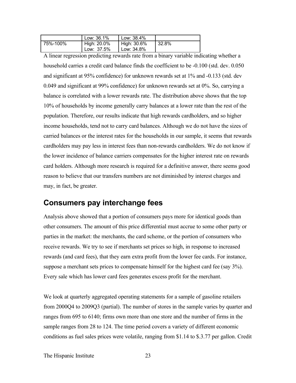|          | Low: 36.1%  | Low: 38.4%  |       |
|----------|-------------|-------------|-------|
| 75%-100% | High: 20.0% | High: 30.6% | 32.8% |
|          | Low: 37.5%  | Low: 34.8%  |       |

A linear regression predicting rewards rate from a binary variable indicating whether a household carries a credit card balance finds the coefficient to be -0.100 (std. dev. 0.050 and significant at 95% confidence) for unknown rewards set at 1% and -0.133 (std. dev 0.049 and significant at 99% confidence) for unknown rewards set at 0%. So, carrying a balance is correlated with a lower rewards rate. The distribution above shows that the top 10% of households by income generally carry balances at a lower rate than the rest of the population. Therefore, our results indicate that high rewards cardholders, and so higher income households, tend not to carry card balances. Although we do not have the sizes of carried balances or the interest rates for the households in our sample, it seems that rewards cardholders may pay less in interest fees than non-rewards cardholders. We do not know if the lower incidence of balance carriers compensates for the higher interest rate on rewards card holders. Although more research is required for a definitive answer, there seems good reason to believe that our transfers numbers are not diminished by interest charges and may, in fact, be greater.

## **Consumers pay interchange fees**

Analysis above showed that a portion of consumers pays more for identical goods than other consumers. The amount of this price differential must accrue to some other party or parties in the market: the merchants, the card scheme, or the portion of consumers who receive rewards. We try to see if merchants set prices so high, in response to increased rewards (and card fees), that they earn extra profit from the lower fee cards. For instance, suppose a merchant sets prices to compensate himself for the highest card fee (say 3%). Every sale which has lower card fees generates excess profit for the merchant.

We look at quarterly aggregated operating statements for a sample of gasoline retailers from 2000Q4 to 2009Q3 (partial). The number of stores in the sample varies by quarter and ranges from 695 to 6140; firms own more than one store and the number of firms in the sample ranges from 28 to 124. The time period covers a variety of different economic conditions as fuel sales prices were volatile, ranging from \$1.14 to \$.3.77 per gallon. Credit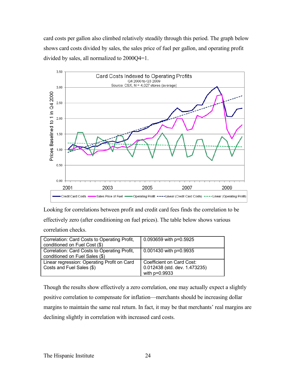card costs per gallon also climbed relatively steadily through this period. The graph below shows card costs divided by sales, the sales price of fuel per gallon, and operating profit divided by sales, all normalized to 2000Q4=1.



Looking for correlations between profit and credit card fees finds the correlation to be effectively zero (after conditioning on fuel prices). The table below shows various correlation checks.

| Correlation: Card Costs to Operating Profit, | 0.093659 with p=0.5925        |
|----------------------------------------------|-------------------------------|
| conditioned on Fuel Cost (\$)                |                               |
| Correlation: Card Costs to Operating Profit, | 0.001430 with p=0.9935        |
| conditioned on Fuel Sales (\$)               |                               |
| Linear regression: Operating Profit on Card  | Coefficient on Card Cost:     |
| Costs and Fuel Sales (\$)                    | 0.012438 (std. dev. 1.473235) |
|                                              | with p=0.9933                 |

Though the results show effectively a zero correlation, one may actually expect a slightly positive correlation to compensate for inflation—merchants should be increasing dollar margins to maintain the same real return. In fact, it may be that merchants' real margins are declining slightly in correlation with increased card costs.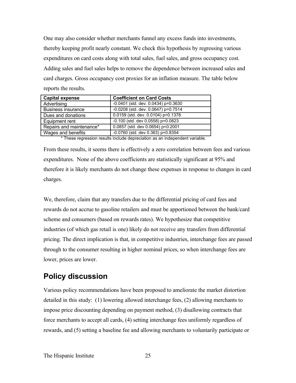One may also consider whether merchants funnel any excess funds into investments, thereby keeping profit nearly constant. We check this hypothesis by regressing various expenditures on card costs along with total sales, fuel sales, and gross occupancy cost. Adding sales and fuel sales helps to remove the dependence between increased sales and card charges. Gross occupancy cost proxies for an inflation measure. The table below reports the results.

| <b>Capital expense</b>    | <b>Coefficient on Card Costs</b>      |
|---------------------------|---------------------------------------|
| Advertising               | $-0.0401$ (std. dev. 0.0434) p=0.3630 |
| <b>Business insurance</b> | $-0.0208$ (std. dev. 0.0647) p=0.7514 |
| Dues and donations        | 0.0159 (std. dev. 0.0104) p=0.1378    |
| Equipment rent            | $-0.100$ (std. dev 0.0558) p=0.0823   |
| Repairs and maintenance*  | 0.0857 (std. dev 0.0654) p=0.2001     |
| Wages and benefits        | $-0.0760$ (std. dev 0.363) p=0.8354   |

\* These regression results include depreciation as an independent variable.

From these results, it seems there is effectively a zero correlation between fees and various expenditures. None of the above coefficients are statistically significant at 95% and therefore it is likely merchants do not change these expenses in response to changes in card charges.

We, therefore, claim that any transfers due to the differential pricing of card fees and rewards do not accrue to gasoline retailers and must be apportioned between the bank/card scheme and consumers (based on rewards rates). We hypothesize that competitive industries (of which gas retail is one) likely do not receive any transfers from differential pricing. The direct implication is that, in competitive industries, interchange fees are passed through to the consumer resulting in higher nominal prices, so when interchange fees are lower, prices are lower.

## **Policy discussion**

Various policy recommendations have been proposed to ameliorate the market distortion detailed in this study: (1) lowering allowed interchange fees, (2) allowing merchants to impose price discounting depending on payment method, (3) disallowing contracts that force merchants to accept all cards, (4) setting interchange fees uniformly regardless of rewards, and (5) setting a baseline fee and allowing merchants to voluntarily participate or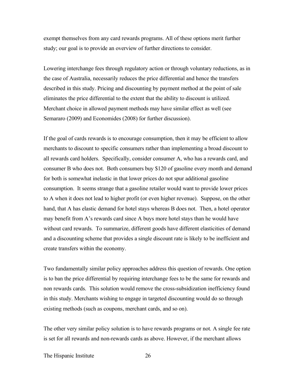exempt themselves from any card rewards programs. All of these options merit further study; our goal is to provide an overview of further directions to consider.

Lowering interchange fees through regulatory action or through voluntary reductions, as in the case of Australia, necessarily reduces the price differential and hence the transfers described in this study. Pricing and discounting by payment method at the point of sale eliminates the price differential to the extent that the ability to discount is utilized. Merchant choice in allowed payment methods may have similar effect as well (see Semararo (2009) and Economides (2008) for further discussion).

If the goal of cards rewards is to encourage consumption, then it may be efficient to allow merchants to discount to specific consumers rather than implementing a broad discount to all rewards card holders. Specifically, consider consumer A, who has a rewards card, and consumer B who does not. Both consumers buy \$120 of gasoline every month and demand for both is somewhat inelastic in that lower prices do not spur additional gasoline consumption. It seems strange that a gasoline retailer would want to provide lower prices to A when it does not lead to higher profit (or even higher revenue). Suppose, on the other hand, that A has elastic demand for hotel stays whereas B does not. Then, a hotel operator may benefit from A's rewards card since A buys more hotel stays than he would have without card rewards. To summarize, different goods have different elasticities of demand and a discounting scheme that provides a single discount rate is likely to be inefficient and create transfers within the economy.

Two fundamentally similar policy approaches address this question of rewards. One option is to ban the price differential by requiring interchange fees to be the same for rewards and non rewards cards. This solution would remove the cross-subsidization inefficiency found in this study. Merchants wishing to engage in targeted discounting would do so through existing methods (such as coupons, merchant cards, and so on).

The other very similar policy solution is to have rewards programs or not. A single fee rate is set for all rewards and non-rewards cards as above. However, if the merchant allows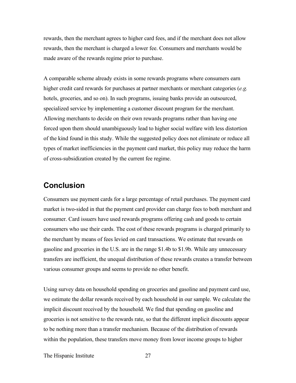rewards, then the merchant agrees to higher card fees, and if the merchant does not allow rewards, then the merchant is charged a lower fee. Consumers and merchants would be made aware of the rewards regime prior to purchase.

A comparable scheme already exists in some rewards programs where consumers earn higher credit card rewards for purchases at partner merchants or merchant categories (*e.g.* hotels, groceries, and so on). In such programs, issuing banks provide an outsourced, specialized service by implementing a customer discount program for the merchant. Allowing merchants to decide on their own rewards programs rather than having one forced upon them should unambiguously lead to higher social welfare with less distortion of the kind found in this study. While the suggested policy does not eliminate or reduce all types of market inefficiencies in the payment card market, this policy may reduce the harm of cross-subsidization created by the current fee regime.

## **Conclusion**

Consumers use payment cards for a large percentage of retail purchases. The payment card market is two-sided in that the payment card provider can charge fees to both merchant and consumer. Card issuers have used rewards programs offering cash and goods to certain consumers who use their cards. The cost of these rewards programs is charged primarily to the merchant by means of fees levied on card transactions. We estimate that rewards on gasoline and groceries in the U.S. are in the range \$1.4b to \$1.9b. While any unnecessary transfers are inefficient, the unequal distribution of these rewards creates a transfer between various consumer groups and seems to provide no other benefit.

Using survey data on household spending on groceries and gasoline and payment card use, we estimate the dollar rewards received by each household in our sample. We calculate the implicit discount received by the household. We find that spending on gasoline and groceries is not sensitive to the rewards rate, so that the different implicit discounts appear to be nothing more than a transfer mechanism. Because of the distribution of rewards within the population, these transfers move money from lower income groups to higher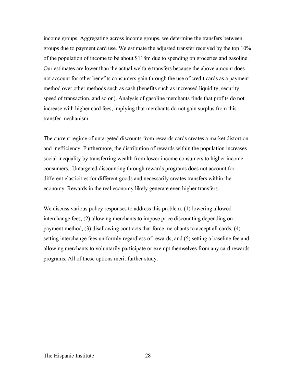income groups. Aggregating across income groups, we determine the transfers between groups due to payment card use. We estimate the adjusted transfer received by the top 10% of the population of income to be about \$118m due to spending on groceries and gasoline. Our estimates are lower than the actual welfare transfers because the above amount does not account for other benefits consumers gain through the use of credit cards as a payment method over other methods such as cash (benefits such as increased liquidity, security, speed of transaction, and so on). Analysis of gasoline merchants finds that profits do not increase with higher card fees, implying that merchants do not gain surplus from this transfer mechanism.

The current regime of untargeted discounts from rewards cards creates a market distortion and inefficiency. Furthermore, the distribution of rewards within the population increases social inequality by transferring wealth from lower income consumers to higher income consumers. Untargeted discounting through rewards programs does not account for different elasticities for different goods and necessarily creates transfers within the economy. Rewards in the real economy likely generate even higher transfers.

We discuss various policy responses to address this problem: (1) lowering allowed interchange fees, (2) allowing merchants to impose price discounting depending on payment method, (3) disallowing contracts that force merchants to accept all cards, (4) setting interchange fees uniformly regardless of rewards, and (5) setting a baseline fee and allowing merchants to voluntarily participate or exempt themselves from any card rewards programs. All of these options merit further study.